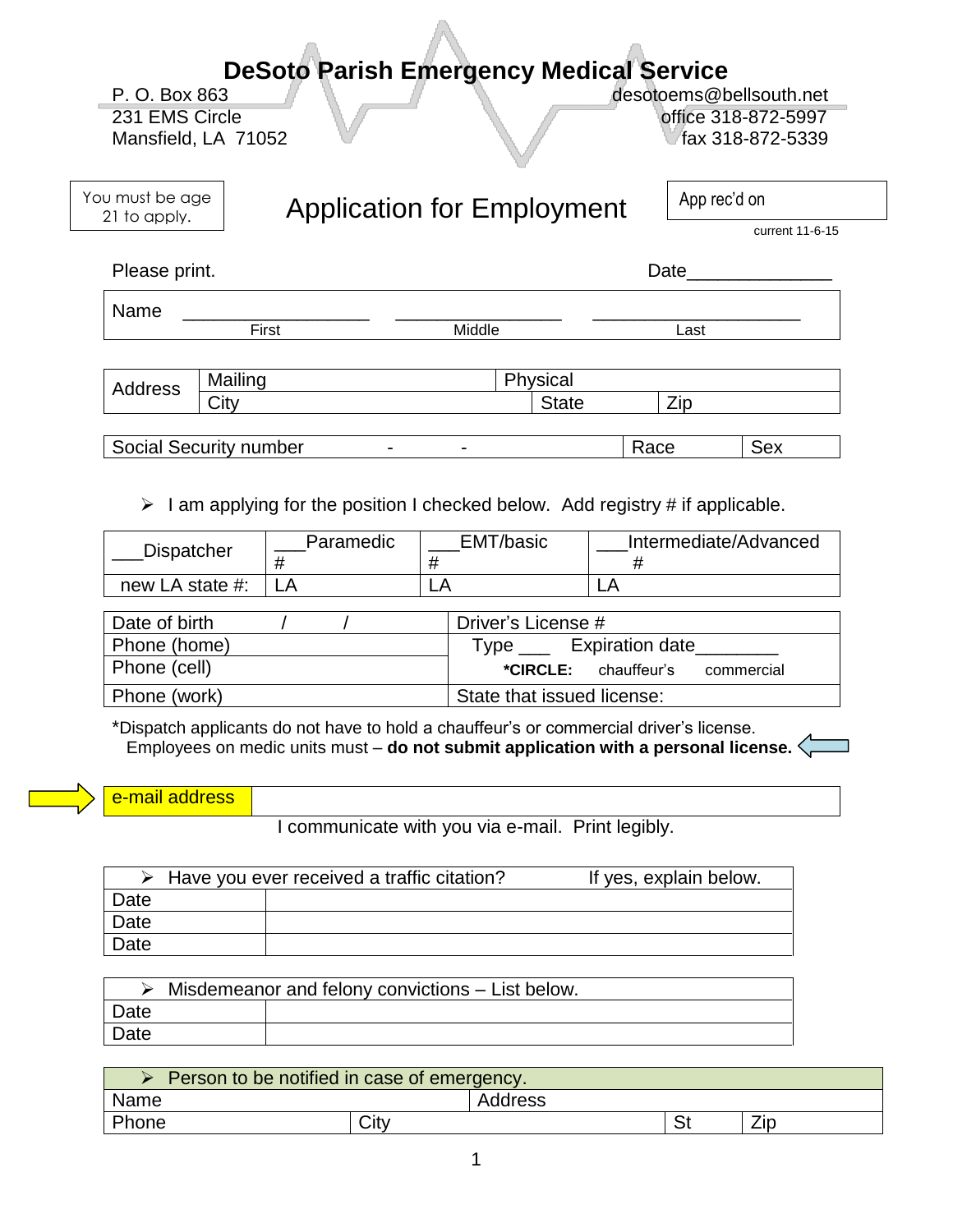## **DeSoto Parish Emergency Medical Service**

Mansfield, LA 71052 **fax 318-872-5339** 

P. O. Box 863 desotoems@bellsouth.net 231 EMS Circle **231** EMS Circle **1231** 

App rec'd on

You must be age 21 to apply.

# Application for Employment

current 11-6-15

Please print. Date

Name \_\_\_\_\_\_\_\_\_\_\_\_\_\_\_\_\_\_ \_\_\_\_\_\_\_\_\_\_\_\_\_\_\_\_ \_\_\_\_\_\_\_\_\_\_\_\_\_\_\_\_\_\_\_\_ First **Example 2018** Middle **Contract Middle** 

| Address | Mailing             | <b>DL</b><br>vsical |           |
|---------|---------------------|---------------------|-----------|
|         | $\sim$ ity.<br>ا اب | <b>State</b>        | --<br>∠ıp |
|         |                     |                     |           |

Social Security number - - - - Race Sex

 $\triangleright$  I am applying for the position I checked below. Add registry # if applicable. 

| <b>Dispatcher</b> | Paramedic | EMT/basic | Intermediate/Advanced |
|-------------------|-----------|-----------|-----------------------|
| new LA state #:   |           |           | --                    |

| Date of birth | Driver's License #                        |  |  |
|---------------|-------------------------------------------|--|--|
| Phone (home)  | Expiration date<br>Type                   |  |  |
| Phone (cell)  | <b>*CIRCLE:</b> chauffeur's<br>commercial |  |  |
| Phone (work)  | State that issued license:                |  |  |

\*Dispatch applicants do not have to hold a chauffeur's or commercial driver's license. Employees on medic units must – **do not submit application with a personal license.** 

|  |  | e-mail address |
|--|--|----------------|
|  |  |                |

I communicate with you via e-mail. Print legibly.

|      | $\triangleright$ Have you ever received a traffic citation? | If yes, explain below. |
|------|-------------------------------------------------------------|------------------------|
| Date |                                                             |                        |
| Date |                                                             |                        |
| Date |                                                             |                        |

|      | Misdemeanor and felony convictions – List below. |  |  |  |  |  |
|------|--------------------------------------------------|--|--|--|--|--|
| Date |                                                  |  |  |  |  |  |
| Date |                                                  |  |  |  |  |  |

| Person to be notified in case of emergency. |         |  |    |     |  |
|---------------------------------------------|---------|--|----|-----|--|
| Name                                        | Address |  |    |     |  |
| Phone                                       | City    |  | r, | Zip |  |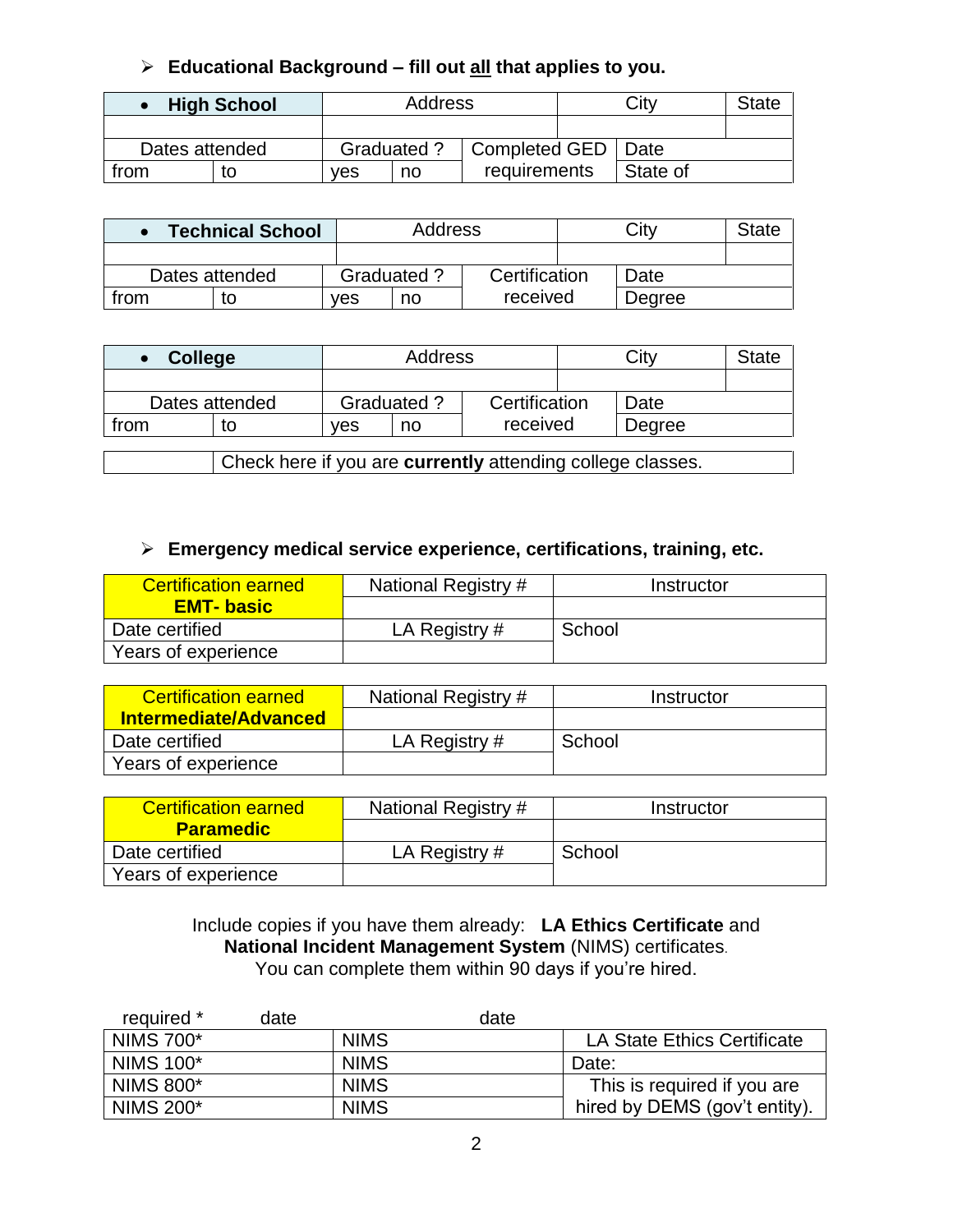### **Educational Background – fill out all that applies to you.**

|                | <b>High School</b> | Address |                                           |              | City     | State |
|----------------|--------------------|---------|-------------------------------------------|--------------|----------|-------|
|                |                    |         |                                           |              |          |       |
| Dates attended |                    |         | Completed GED   Date<br><b>Graduated?</b> |              |          |       |
| trom           |                    | ves     | no                                        | requirements | State of |       |

|      | <b>Technical School</b> |     | <b>Address</b>    |               |  | Citv   | State |
|------|-------------------------|-----|-------------------|---------------|--|--------|-------|
|      |                         |     |                   |               |  |        |       |
|      | Dates attended          |     | <b>Graduated?</b> | Certification |  | Date   |       |
| trom |                         | ves | no                | received      |  | Degree |       |

|                                                            | <b>College</b> |     | Address           | City     |               | <b>State</b> |      |  |
|------------------------------------------------------------|----------------|-----|-------------------|----------|---------------|--------------|------|--|
|                                                            |                |     |                   |          |               |              |      |  |
| Dates attended                                             |                |     | <b>Graduated?</b> |          | Certification |              | Date |  |
| from                                                       | to             | ves | no                | received |               | Degree       |      |  |
|                                                            |                |     |                   |          |               |              |      |  |
| Check here if you are currently attending college classes. |                |     |                   |          |               |              |      |  |

#### **Emergency medical service experience, certifications, training, etc.**

| <b>Certification earned</b> | National Registry # | Instructor |
|-----------------------------|---------------------|------------|
| <b>EMT-basic</b>            |                     |            |
| Date certified              | LA Registry #       | School     |
| Years of experience         |                     |            |

| <b>Certification earned</b>  | National Registry # | Instructor |
|------------------------------|---------------------|------------|
| <b>Intermediate/Advanced</b> |                     |            |
| Date certified               | LA Registry $#$     | School     |
| Years of experience          |                     |            |

| <b>Certification earned</b> | National Registry # | Instructor |
|-----------------------------|---------------------|------------|
| <b>Paramedic</b>            |                     |            |
| Date certified              | LA Registry #       | School     |
| Years of experience         |                     |            |

Include copies if you have them already: **LA Ethics Certificate** and **National Incident Management System** (NIMS) certificates. You can complete them within 90 days if you're hired.

| required *       | date |             | date |                               |
|------------------|------|-------------|------|-------------------------------|
| <b>NIMS 700*</b> |      | <b>NIMS</b> |      | LA State Ethics Certificate   |
| <b>NIMS 100*</b> |      | <b>NIMS</b> |      | Date:                         |
| <b>NIMS 800*</b> |      | <b>NIMS</b> |      | This is required if you are   |
| <b>NIMS 200*</b> |      | <b>NIMS</b> |      | hired by DEMS (gov't entity). |
|                  |      |             |      |                               |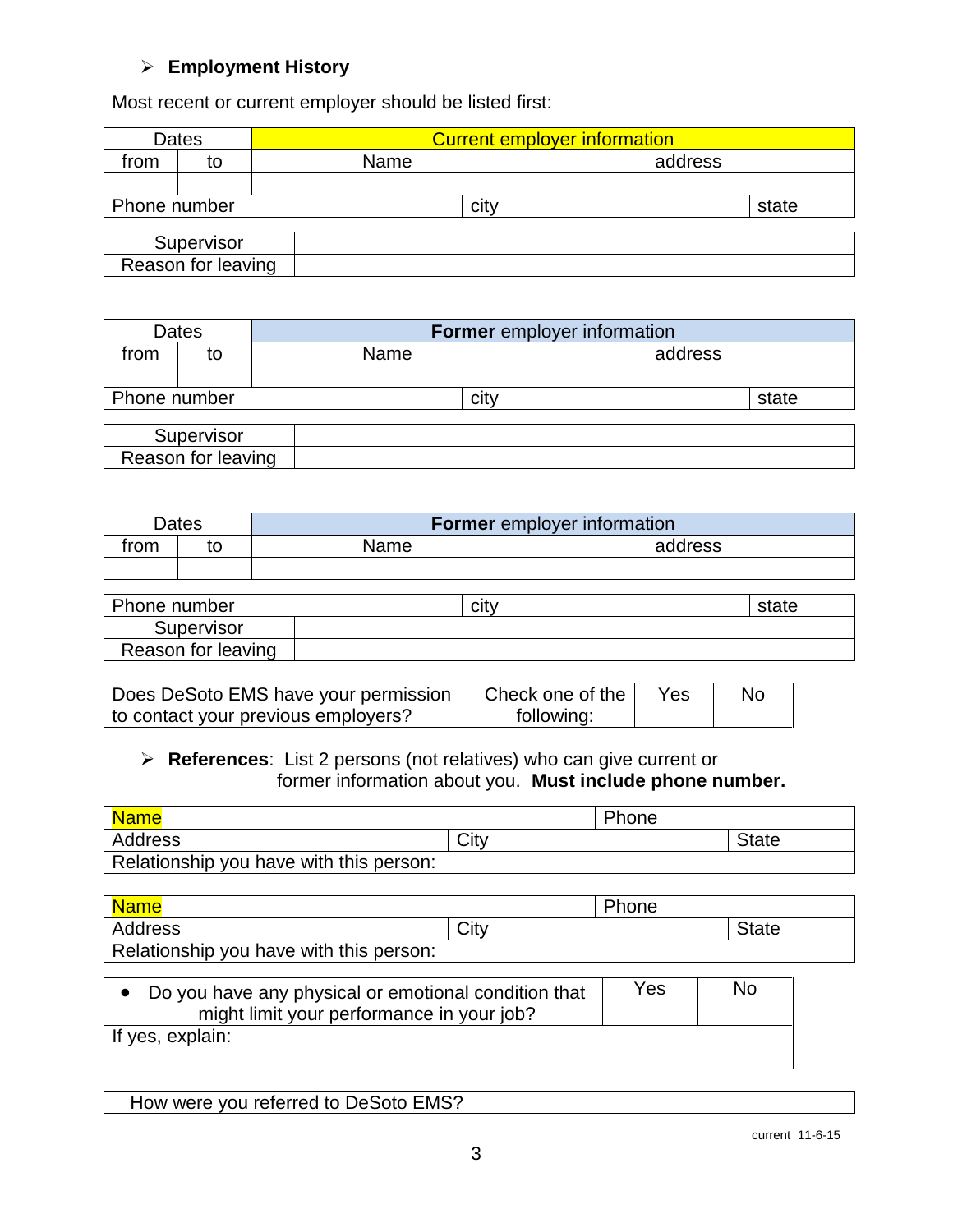#### **Employment History**

Most recent or current employer should be listed first:

|              | Dates              | <b>Current employer information</b> |         |
|--------------|--------------------|-------------------------------------|---------|
| trom         | to                 | Name                                | address |
|              |                    |                                     |         |
| Phone number |                    | city                                | state   |
|              |                    |                                     |         |
|              | Supervisor         |                                     |         |
|              | Reason for leaving |                                     |         |

|              | Dates              | <b>Former</b> employer information |         |
|--------------|--------------------|------------------------------------|---------|
| trom         | to                 | Name                               | address |
|              |                    |                                    |         |
| Phone number |                    | citv                               | state   |
|              |                    |                                    |         |
|              | Supervisor         |                                    |         |
|              | Reason for leaving |                                    |         |

|      | Dates | <b>Former</b> employer information |         |
|------|-------|------------------------------------|---------|
| from | to    | Name                               | address |
|      |       |                                    |         |

| Phone number       | Clt∖ | state |
|--------------------|------|-------|
| Supervisor         |      |       |
| Reason for leaving |      |       |

| Does DeSoto EMS have your permission | Check one of the | Yes | Nc |
|--------------------------------------|------------------|-----|----|
| to contact your previous employers?  | following:       |     |    |

#### **References**: List 2 persons (not relatives) who can give current or former information about you. **Must include phone number.**

| Name                                    |      | Phone |              |
|-----------------------------------------|------|-------|--------------|
| Address                                 | City |       | <b>State</b> |
| Relationship you have with this person: |      |       |              |

| <b>Name</b>                             |      | Phone |       |
|-----------------------------------------|------|-------|-------|
| Address                                 | City |       | State |
| Relationship you have with this person: |      |       |       |

| • Do you have any physical or emotional condition that | Yes | No |
|--------------------------------------------------------|-----|----|
| might limit your performance in your job?              |     |    |
| If yes, explain:                                       |     |    |

|--|